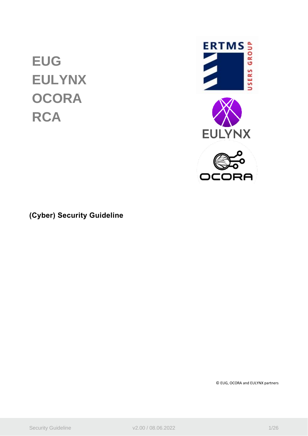# **EUG EULYNX OCORA RCA**



**(Cyber) Security Guideline**

© EUG, OCORA and EULYNX partners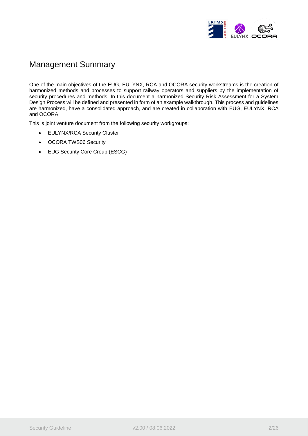

# Management Summary

One of the main objectives of the EUG, EULYNX, RCA and OCORA security workstreams is the creation of harmonized methods and processes to support railway operators and suppliers by the implementation of security procedures and methods. In this document a harmonized Security Risk Assessment for a System Design Process will be defined and presented in form of an example walkthrough. This process and guidelines are harmonized, have a consolidated approach, and are created in collaboration with EUG, EULYNX, RCA and OCORA.

This is joint venture document from the following security workgroups:

- EULYNX/RCA Security Cluster
- OCORA TWS06 Security
- EUG Security Core Croup (ESCG)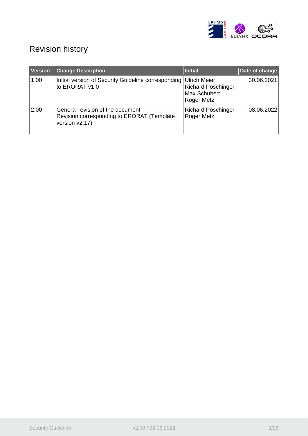

# Revision history

| <b>Version</b> | <b>Change Description</b>                                                                         | <b>Initial</b>                                                                 | Date of change |
|----------------|---------------------------------------------------------------------------------------------------|--------------------------------------------------------------------------------|----------------|
| 1.00           | Initial version of Security Guideline corresponding<br>to ERORAT v1.0                             | <b>Ulrich Meier</b><br><b>Richard Poschinger</b><br>Max Schubert<br>Roger Metz | 30.06.2021     |
| 2.00           | General revision of the document.<br>Revision corresponding to ERORAT (Template<br>version v2.17) | <b>Richard Poschinger</b><br>Roger Metz                                        | 08.06.2022     |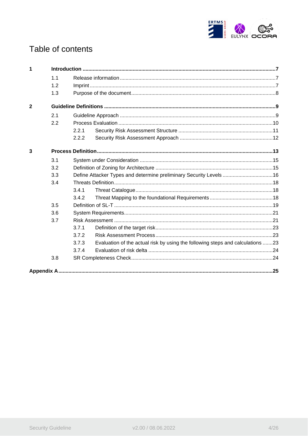

# Table of contents

| 1              |     |       |                                                                                |  |
|----------------|-----|-------|--------------------------------------------------------------------------------|--|
|                | 1.1 |       |                                                                                |  |
|                | 1.2 |       |                                                                                |  |
|                | 1.3 |       |                                                                                |  |
| $\overline{2}$ |     |       |                                                                                |  |
|                | 2.1 |       |                                                                                |  |
|                | 2.2 |       |                                                                                |  |
|                |     | 2.2.1 |                                                                                |  |
|                |     | 2.2.2 |                                                                                |  |
| 3              |     |       |                                                                                |  |
|                | 3.1 |       |                                                                                |  |
|                | 3.2 |       |                                                                                |  |
|                | 3.3 |       | Define Attacker Types and determine preliminary Security Levels 16             |  |
|                | 3.4 |       |                                                                                |  |
|                |     | 3.4.1 |                                                                                |  |
|                |     | 3.4.2 |                                                                                |  |
|                | 3.5 |       |                                                                                |  |
|                | 3.6 |       |                                                                                |  |
|                | 3.7 |       |                                                                                |  |
|                |     | 3.7.1 |                                                                                |  |
|                |     | 3.7.2 |                                                                                |  |
|                |     | 3.7.3 | Evaluation of the actual risk by using the following steps and calculations 23 |  |
|                |     | 3.7.4 |                                                                                |  |
|                | 3.8 |       |                                                                                |  |
|                |     |       |                                                                                |  |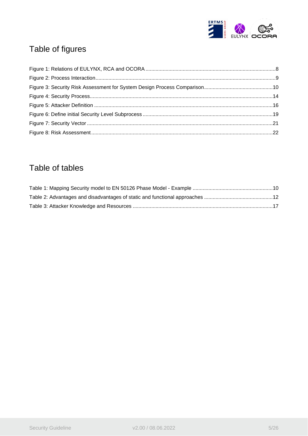

# Table of figures

# Table of tables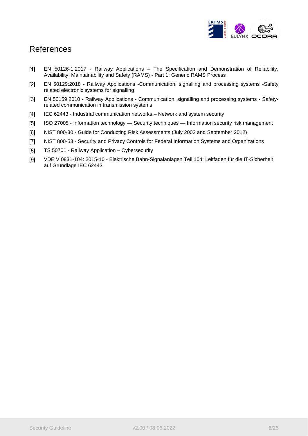

# References

- <span id="page-5-0"></span>EN 50126-1:2017 - Railway Applications – The Specification and Demonstration of Reliability,  $[1]$ Availability, Maintainability and Safety (RAMS) - Part 1: Generic RAMS Process
- $[2]$ EN 50129:2018 - Railway Applications -Communication, signalling and processing systems -Safety related electronic systems for signalling
- $[3]$ EN 50159:2010 - Railway Applications - Communication, signalling and processing systems - Safetyrelated communication in transmission systems
- <span id="page-5-1"></span> $[4]$ IEC 62443 - Industrial communication networks – Network and system security
- <span id="page-5-3"></span> $[5]$ ISO 27005 - Information technology — Security techniques — Information security risk management
- <span id="page-5-4"></span> $[6]$ NIST 800-30 - Guide for Conducting Risk Assessments (July 2002 and September 2012)
- <span id="page-5-6"></span> $[7]$ NIST 800-53 - Security and Privacy Controls for Federal Information Systems and Organizations
- <span id="page-5-2"></span> $[8]$ TS 50701 - Railway Application – Cybersecurity
- <span id="page-5-5"></span> $[9]$ VDE V 0831-104: 2015-10 - Elektrische Bahn-Signalanlagen Teil 104: Leitfaden für die IT-Sicherheit auf Grundlage IEC 62443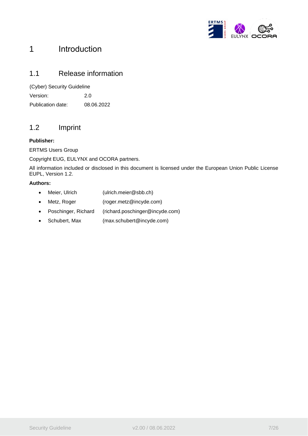

# <span id="page-6-0"></span>1 Introduction

### <span id="page-6-1"></span>1.1 Release information

(Cyber) Security Guideline

Version: 2.0 Publication date: 08.06.2022

### <span id="page-6-2"></span>1.2 Imprint

#### **Publisher:**

ERTMS Users Group

Copyright EUG, EULYNX and OCORA partners.

All information included or disclosed in this document is licensed under the European Union Public License EUPL, Version 1.2.

#### **Authors:**

- Meier, Ulrich (ulrich.meier@sbb.ch)
- Metz, Roger (roger.metz@incyde.com)
- Poschinger, Richard (richard.poschinger@incyde.com)
- Schubert, Max (max.schubert@incyde.com)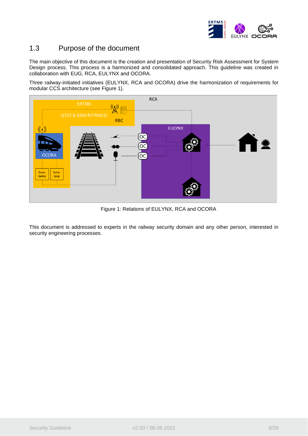

### <span id="page-7-0"></span>1.3 Purpose of the document

The main objective of this document is the creation and presentation of Security Risk Assessment for System Design process. This process is a harmonized and consolidated approach. This guideline was created in collaboration with EUG, RCA, EULYNX and OCORA.

Three railway-initiated initiatives (EULYNX, RCA and OCORA) drive the harmonization of requirements for modular CCS architecture (see [Figure 1\)](#page-7-1).



Figure 1: Relations of EULYNX, RCA and OCORA

<span id="page-7-1"></span>This document is addressed to experts in the railway security domain and any other person, interested in security engineering processes.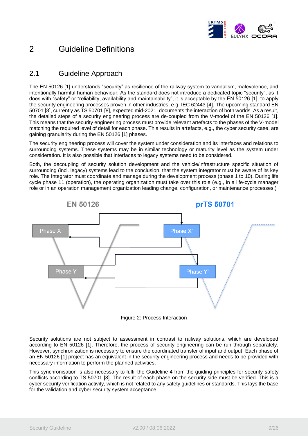

# <span id="page-8-0"></span>2 Guideline Definitions

### <span id="page-8-1"></span>2.1 Guideline Approach

The EN 50126 [\[1\]](#page-5-0) understands "security" as resilience of the railway system to vandalism, malevolence, and intentionally harmful human behaviour. As the standard does not introduce a dedicated topic "security", as it does with "safety" or "reliability, availability and maintainability", it is acceptable by the EN 50126 [\[1\],](#page-5-0) to apply the security engineering processes proven in other industries, e.g. IEC 62443 [\[4\].](#page-5-1) The upcoming standard EN 50701 [\[8\],](#page-5-2) currently as TS 50701 [\[8\],](#page-5-2) expected mid-2021, documents the interaction of both worlds. As a result, the detailed steps of a security engineering process are de-coupled from the V-model of the EN 50126 [\[1\].](#page-5-0) This means that the security engineering process must provide relevant artefacts to the phases of the V-model matching the required level of detail for each phase. This results in artefacts, e.g., the cyber security case, are gaining granularity during the EN 50126 [\[1\]](#page-5-0) phases.

The security engineering process will cover the system under consideration and its interfaces and relations to surrounding systems. These systems may be in similar technology or maturity level as the system under consideration. It is also possible that interfaces to legacy systems need to be considered.

Both, the decoupling of security solution development and the vehicle/infrastructure specific situation of surrounding (incl. legacy) systems lead to the conclusion, that the system integrator must be aware of its key role. The Integrator must coordinate and manage during the development process (phase 1 to 10). During life cycle phase 11 (operation), the operating organization must take over this role (e.g., in a life-cycle manager role or in an operation management organization leading change, configuration, or maintenance processes.)



Figure 2: Process Interaction

<span id="page-8-2"></span>Security solutions are not subject to assessment in contrast to railway solutions, which are developed according to EN 50126 [\[1\].](#page-5-0) Therefore, the process of security engineering can be run through separately. However, synchronization is necessary to ensure the coordinated transfer of input and output. Each phase of an EN 50126 [\[1\]](#page-5-0) project has an equivalent in the security engineering process and needs to be provided with necessary information to perform the planned activities.

This synchronisation is also necessary to fulfil the Guideline 4 from the guiding principles for security-safety conflicts according to TS 50701 [\[8\].](#page-5-2) The result of each phase on the security side must be verified. This is a cyber security verification activity, which is not related to any safety guidelines or standards. This lays the base for the validation and cyber security system acceptance.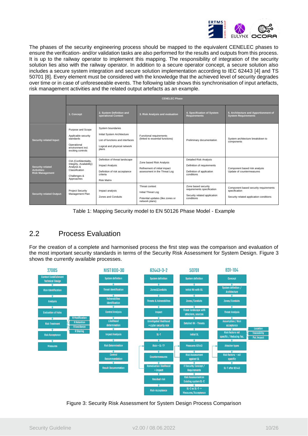

The phases of the security engineering process should be mapped to the equivalent CENELEC phases to ensure the verification- and/or validation tasks are also performed for the results and outputs from this process. It is up to the railway operator to implement this mapping. The responsibility of integration of the security solution lies also with the railway operator. In addition to a secure operator concept, a secure solution also includes a secure system integration and secure solution implementation according to IEC 62443 [\[4\]](#page-5-1) and TS 50701 [\[8\].](#page-5-2) Every element must be considered with the knowledge that the achieved level of security degrades over time or in case of unforeseeable events. The following table shows this synchronisation of input artefacts, risk management activities and the related output artefacts as an example.

|                                                                  |                                                                                                                 |                                                                                                                               | <b>CENELEC Phase</b>                                                                       |                                                                                                        |                                                                                                   |
|------------------------------------------------------------------|-----------------------------------------------------------------------------------------------------------------|-------------------------------------------------------------------------------------------------------------------------------|--------------------------------------------------------------------------------------------|--------------------------------------------------------------------------------------------------------|---------------------------------------------------------------------------------------------------|
|                                                                  | 1. Concept                                                                                                      | 2. System Definition and<br>operational Context                                                                               | 3. Risk Analysis and evaluation                                                            | 4. Specification of System<br><b>Requirements</b>                                                      | 5. Architecture and Apportionment of<br><b>System Requirements</b>                                |
| <b>Security related Input:</b>                                   | Purpose and Scope<br>Applicable security<br>standards<br>Operational<br>environment incl.<br>exciting controls  | System boundaries<br>Initial System Architecture<br>List of functions and interfaces<br>Logical and physical network<br>plans | Functional requirements<br>(linked to essential functions)                                 | Preliminary documentation                                                                              | System architecture breakdown to<br>components                                                    |
| <b>Security related</b><br>Activities:<br><b>Risk Management</b> | CIA (Confidentiality,<br>Integrity, Availability)<br>Analysis &<br>Classification<br>Challenges &<br>Approaches | Definition of threat landscape<br><b>Impact Analysis</b><br>Definition of risk acceptance<br>criteria<br><b>Risk Matrix</b>   | Zone based Risk Analysis<br>Refinement of initial impact<br>assessment in the Threat Log   | <b>Detailed Risk Analysis</b><br>Definition of requirements<br>Definition of application<br>conditions | Component based risk analysis<br>Update of countermeasures                                        |
| <b>Security related Output:</b>                                  | <b>Project Security</b><br>Management Plan                                                                      | Impact analysis<br>Zones and Conduits                                                                                         | Threat context<br>Initial Threat Log<br>Potential updates (like zones or<br>network plans) | Zone based security<br>requirements specification<br>Security related application<br>conditions        | Component based security requirements<br>specification<br>Security related application conditions |

Table 1: Mapping Security model to EN 50126 Phase Model - Example

# <span id="page-9-2"></span><span id="page-9-0"></span>2.2 Process Evaluation

For the creation of a complete and harmonised process the first step was the comparison and evaluation of the most important security standards in terms of the Security Risk Assessment for System Design. Figure 3 shows the currently available processes.



<span id="page-9-1"></span>Figure 3: Security Risk Assessment for System Design Process Comparison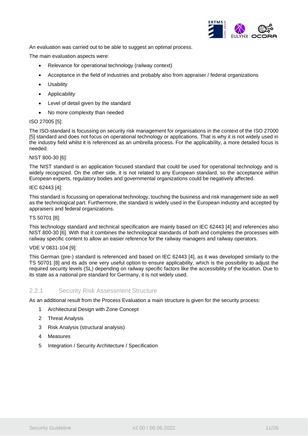

An evaluation was carried out to be able to suggest an optimal process.

The main evaluation aspects were:

- Relevance for operational technology (railway context)
- Acceptance in the field of industries and probably also from appraiser / federal organizations
- Usability
- Applicability
- Level of detail given by the standard
- No more complexity than needed

#### ISO 27005 [\[5\]:](#page-5-3)

The ISO-standard is focussing on security risk management for organisations in the context of the ISO 27000 [\[5\]](#page-5-3) standard and does not focus on operational technology or applications. That is why it is not widely used in the industry field whilst it is referenced as an umbrella process. For the applicability, a more detailed focus is needed.

#### NIST 800-30 [\[6\]:](#page-5-4)

The NIST standard is an application focused standard that could be used for operational technology and is widely recognized. On the other side, it is not related to any European standard, so the acceptance within European experts, regulatory bodies and governmental organizations could be negatively affected.

#### IEC 62443 [\[4\]:](#page-5-1)

This standard is focussing on operational technology, touching the business and risk management side as well as the technological part. Furthermore, the standard is widely used in the European industry and accepted by appraisers and federal organizations.

#### TS 50701 [\[8\]:](#page-5-2)

This technology standard and technical specification are mainly based on IEC 62443 [\[4\]](#page-5-1) and references also NIST 800-30 [\[6\].](#page-5-4) With that it combines the technological standards of both and completes the processes with railway specific content to allow an easier reference for the railway managers and railway operators.

#### VDE V 0831-104 [\[9\]:](#page-5-5)

This German (pre-) standard is referenced and based on IEC 62443 [\[4\],](#page-5-1) as it was developed similarly to the TS 50701 [\[8\]](#page-5-2) and its ads one very useful option to ensure applicability, which is the possibility to adjust the required security levels (SL) depending on railway specific factors like the accessibility of the location. Due to its state as a national pre standard for Germany, it is not widely used.

#### <span id="page-10-0"></span>2.2.1 Security Risk Assessment Structure

As an additional result from the Process Evaluation a main structure is given for the security process:

- 1 Architectural Design with Zone Concept
- 2 Threat Analysis
- 3 Risk Analysis (structural analysis)
- 4 Measures
- 5 Integration / Security Architecture / Specification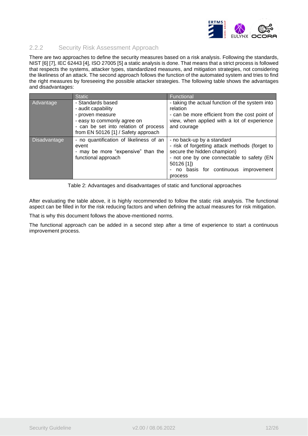

#### <span id="page-11-0"></span>2.2.2 Security Risk Assessment Approach

There are two approaches to define the security measures based on a risk analysis. Following the standards, NIST [\[6\]](#page-5-4) [\[7\],](#page-5-6) IEC 62443 [\[4\],](#page-5-1) ISO 27005 [\[5\]](#page-5-3) a static analysis is done. That means that a strict process is followed that respects the systems, attacker types, standardized measures, and mitigation strategies, not considering the likeliness of an attack. The second approach follows the function of the automated system and tries to find the right measures by foreseeing the possible attacker strategies. The following table shows the advantages and disadvantages:

|              | <b>Static</b>                                                                                                 | Functional                                                                                                                                                                                                                |
|--------------|---------------------------------------------------------------------------------------------------------------|---------------------------------------------------------------------------------------------------------------------------------------------------------------------------------------------------------------------------|
| Advantage    | - Standards based<br>- audit capability<br>- proven measure<br>- easy to commonly agree on                    | - taking the actual function of the system into<br>relation<br>- can be more efficient from the cost point of<br>view, when applied with a lot of experience                                                              |
|              | - can be set into relation of process<br>from EN 50126 [1] / Safety approach                                  | and courage                                                                                                                                                                                                               |
| Disadvantage | - no quantification of likeliness of an<br>event<br>- may be more "expensive" than the<br>functional approach | - no back-up by a standard<br>- risk of forgetting attack methods (forget to<br>secure the hidden champion)<br>- not one by one connectable to safety (EN<br>50126 [1])<br>no basis for continuous improvement<br>process |

<span id="page-11-1"></span>Table 2: Advantages and disadvantages of static and functional approaches

After evaluating the table above, it is highly recommended to follow the static risk analysis. The functional aspect can be filled in for the risk reducing factors and when defining the actual measures for risk mitigation.

That is why this document follows the above-mentioned norms.

The functional approach can be added in a second step after a time of experience to start a continuous improvement process.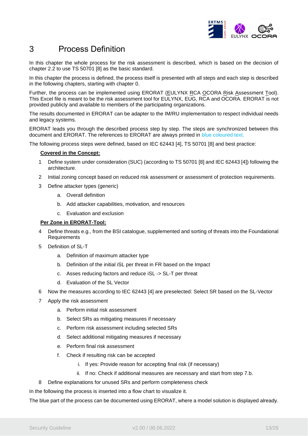

# <span id="page-12-0"></span>3 Process Definition

In this chapter the whole process for the risk assessment is described, which is based on the decision of chapter [2.2](#page-9-0) to use TS 50701 [\[8\]](#page-5-2) as the basic standard.

In this chapter the process is defined, the process itself is presented with all steps and each step is described in the following chapters, starting with chapter [0.](#page-13-1)

Further, the process can be implemented using ERORAT (EULYNX RCA OCORA Risk Assessment Tool). This Excel file is meant to be the risk assessment tool for EULYNX, EUG, RCA and OCORA. ERORAT is not provided publicly and available to members of the participating organizations.

The results documented in ERORAT can be adapter to the IM/RU implementation to respect individual needs and legacy systems.

ERORAT leads you through the described process step by step. The steps are synchronized between this document and ERORAT. The references to ERORAT are always printed in blue coloured text.

The following process steps were defined, based on IEC 62443 [\[4\],](#page-5-1) TS 50701 [\[8\]](#page-5-2) and best practice:

#### **Covered in the Concept:**

- 1 Define system under consideration (SUC) (according to TS 50701 [\[8\]](#page-5-2) and IEC 62443 [\[4\]\)](#page-5-1) following the architecture.
- 2 Initial zoning concept based on reduced risk assessment or assessment of protection requirements.
- 3 Define attacker types (generic)
	- a. Overall definition
	- b. Add attacker capabilities, motivation, and resources
	- c. Evaluation and exclusion

#### **Per Zone in ERORAT-Tool:**

- 4 Define threats e.g., from the BSI catalogue, supplemented and sorting of threats into the Foundational Requirements
- 5 Definition of SL-T
	- a. Definition of maximum attacker type
	- b. Definition of the initial iSL per threat in FR based on the Impact
	- c. Asses reducing factors and reduce iSL -> SL-T per threat
	- d. Evaluation of the SL Vector
- 6 Now the measures according to IEC 62443 [\[4\]](#page-5-1) are preselected: Select SR based on the SL-Vector
- 7 Apply the risk assessment
	- a. Perform initial risk assessment
	- b. Select SRs as mitigating measures if necessary
	- c. Perform risk assessment including selected SRs
	- d. Select additional mitigating measures if necessary
	- e. Perform final risk assessment
	- f. Check if resulting risk can be accepted
		- i. If yes: Provide reason for accepting final risk (if necessary)
		- ii. If no: Check if additional measures are necessary and start from step 7.b.
- 8 Define explanations for unused SRs and perform completeness check

In the following the process is inserted into a flow chart to visualize it.

The blue part of the process can be documented using ERORAT, where a model solution is displayed already.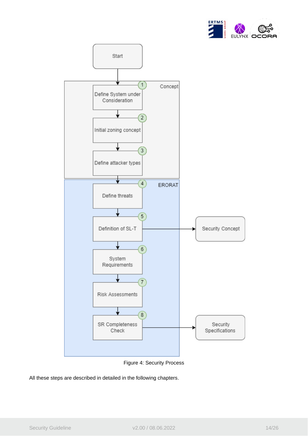



Figure 4: Security Process

<span id="page-13-1"></span><span id="page-13-0"></span>All these steps are described in detailed in the following chapters.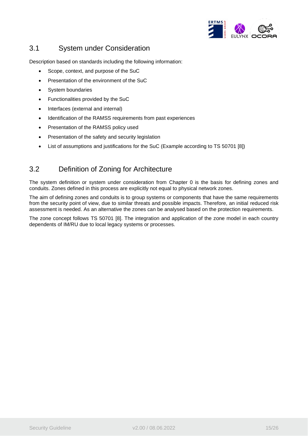

## <span id="page-14-0"></span>3.1 System under Consideration

Description based on standards including the following information:

- Scope, context, and purpose of the SuC
- Presentation of the environment of the SuC
- System boundaries
- Functionalities provided by the SuC
- Interfaces (external and internal)
- Identification of the RAMSS requirements from past experiences
- Presentation of the RAMSS policy used
- Presentation of the safety and security legislation
- List of assumptions and justifications for the SuC (Example according to TS 50701 [\[8\]\)](#page-5-2)

### <span id="page-14-1"></span>3.2 Definition of Zoning for Architecture

The system definition or system under consideration from Chapter [0](#page-13-1) is the basis for defining zones and conduits. Zones defined in this process are explicitly not equal to physical network zones.

The aim of defining zones and conduits is to group systems or components that have the same requirements from the security point of view, due to similar threats and possible impacts. Therefore, an initial reduced risk assessment is needed. As an alternative the zones can be analysed based on the protection requirements.

The zone concept follows TS 50701 [\[8\].](#page-5-2) The integration and application of the zone model in each country dependents of IM/RU due to local legacy systems or processes.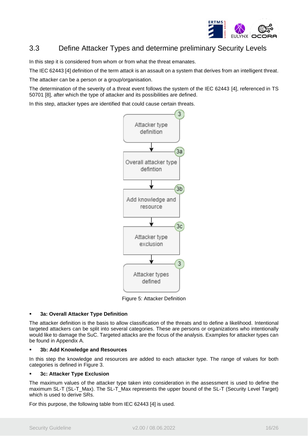

# <span id="page-15-0"></span>3.3 Define Attacker Types and determine preliminary Security Levels

In this step it is considered from whom or from what the threat emanates.

The IEC 62443 [\[4\]](#page-5-1) definition of the term *attack* is an assault on a system that derives from an intelligent threat.

The attacker can be a person or a group/organisation.

The determination of the severity of a threat event follows the system of the IEC 62443 [\[4\],](#page-5-1) referenced in TS 50701 [\[8\],](#page-5-2) after which the type of attacker and its possibilities are defined.

In this step, attacker types are identified that could cause certain threats.



Figure 5: Attacker Definition

#### <span id="page-15-1"></span>**3a: Overall Attacker Type Definition**

The attacker definition is the basis to allow classification of the threats and to define a likelihood. Intentional targeted attackers can be split into several categories. These are persons or organizations who intentionally would like to damage the SuC. Targeted attacks are the focus of the analysis. Examples for attacker types can be found in Appendix A.

#### **3b: Add Knowledge and Resources**

In this step the knowledge and resources are added to each attacker type. The range of values for both categories is defined in [Figure 3.](#page-9-1)

#### **3c: Attacker Type Exclusion**

The maximum values of the attacker type taken into consideration in the assessment is used to define the maximum SL-T (SL-T\_Max). The SL-T\_Max represents the upper bound of the SL-T (Security Level Target) which is used to derive SRs.

For this purpose, the following table from IEC 62443 [\[4\]](#page-5-1) is used.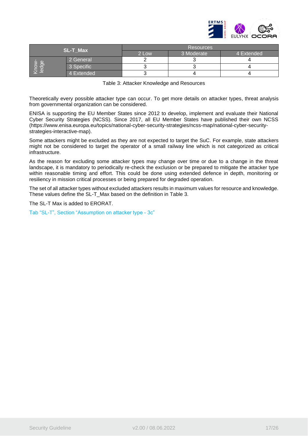

|   |                 | <b>Resources</b> |            |            |
|---|-----------------|------------------|------------|------------|
|   | <b>SL-T Max</b> | 2 Low            | 3 Moderate | 4 Extended |
| Œ | 2 General       |                  |            |            |
| 5 | 3 Specific      |                  |            |            |
|   | 4 Extended      |                  |            |            |

| Table 3: Attacker Knowledge and Resources |  |  |  |  |  |  |
|-------------------------------------------|--|--|--|--|--|--|
|-------------------------------------------|--|--|--|--|--|--|

<span id="page-16-0"></span>Theoretically every possible attacker type can occur. To get more details on attacker types, threat analysis from governmental organization can be considered.

ENISA is supporting the EU Member States since 2012 to develop, implement and evaluate their National Cyber Security Strategies (NCSS). Since 2017, all EU Member States have published their own NCSS [\(https://www.enisa.europa.eu/topics/national-cyber-security-strategies/ncss-map/national-cyber-security](https://www.enisa.europa.eu/topics/national-cyber-security-strategies/ncss-map/national-cyber-security-strategies-interactive-map)[strategies-interactive-map\)](https://www.enisa.europa.eu/topics/national-cyber-security-strategies/ncss-map/national-cyber-security-strategies-interactive-map).

Some attackers might be excluded as they are not expected to target the SuC. For example, state attackers might not be considered to target the operator of a small railway line which is not categorized as critical infrastructure.

As the reason for excluding some attacker types may change over time or due to a change in the threat landscape, it is mandatory to periodically re-check the exclusion or be prepared to mitigate the attacker type within reasonable timing and effort. This could be done using extended defence in depth, monitoring or resiliency in mission critical processes or being prepared for degraded operation.

The set of all attacker types without excluded attackers results in maximum values for resource and knowledge. These values define the SL-T\_Max based on the definition in [Table 3.](#page-16-0)

The SL-T Max is added to ERORAT.

Tab "SL-T", Section "Assumption on attacker type - 3c"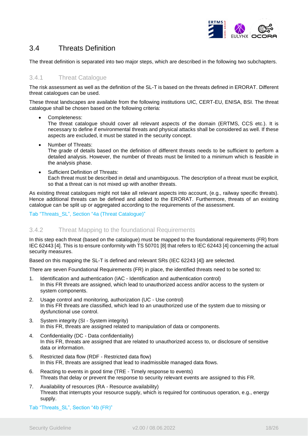

# <span id="page-17-0"></span>3.4 Threats Definition

The threat definition is separated into two major steps, which are described in the following two subchapters.

#### <span id="page-17-1"></span>3.4.1 Threat Catalogue

The risk assessment as well as the definition of the SL-T is based on the threats defined in ERORAT. Different threat catalogues can be used.

These threat landscapes are available from the following institutions UIC, CERT-EU, ENISA, BSI. The threat catalogue shall be chosen based on the following criteria:

Completeness:

The threat catalogue should cover all relevant aspects of the domain (ERTMS, CCS etc.). It is necessary to define if environmental threats and physical attacks shall be considered as well. If these aspects are excluded, it must be stated in the security concept.

- Number of Threats: The grade of details based on the definition of different threats needs to be sufficient to perform a detailed analysis. However, the number of threats must be limited to a minimum which is feasible in the analysis phase.
- Sufficient Definition of Threats: Each threat must be described in detail and unambiguous. The description of a threat must be explicit, so that a threat can is not mixed up with another threats.

As existing threat catalogues might not take all relevant aspects into account, (e.g., railway specific threats). Hence additional threats can be defined and added to the ERORAT. Furthermore, threats of an existing catalogue can be split up or aggregated according to the requirements of the assessment.

#### Tab "Threats\_SL", Section "4a (Threat Catalogue)"

#### <span id="page-17-2"></span>3.4.2 Threat Mapping to the foundational Requirements

In this step each threat (based on the catalogue) must be mapped to the foundational requirements (FR) from IEC 62443 [\[4\].](#page-5-1) This is to ensure conformity with TS 5070[1 \[8\]](#page-5-2) that refers to IEC 62443 [\[4\]](#page-5-1) concerning the actual security measures.

Based on this mapping the SL-T is defined and relevant SRs (IEC 62243 [\[4\]\)](#page-5-1) are selected.

There are seven Foundational Requirements (FR) in place, the identified threats need to be sorted to:

- 1. Identification and authentication (IAC Identification and authentication control) In this FR threats are assigned, which lead to unauthorized access and/or access to the system or system components.
- 2. Usage control and monitoring, authorization (UC Use control) In this FR threats are classified, which lead to an unauthorized use of the system due to missing or dysfunctional use control.
- 3. System integrity (SI System integrity) In this FR, threats are assigned related to manipulation of data or components.
- 4. Confidentiality (DC Data confidentiality) In this FR, threats are assigned that are related to unauthorized access to, or disclosure of sensitive data or information.
- 5. Restricted data flow (RDF Restricted data flow) In this FR, threats are assigned that lead to inadmissible managed data flows.
- 6. Reacting to events in good time (TRE Timely response to events) Threats that delay or prevent the response to security relevant events are assigned to this FR.
- 7. Availability of resources (RA Resource availability) Threats that interrupts your resource supply, which is required for continuous operation, e.g., energy supply.
- Tab "Threats\_SL", Section "4b (FR)"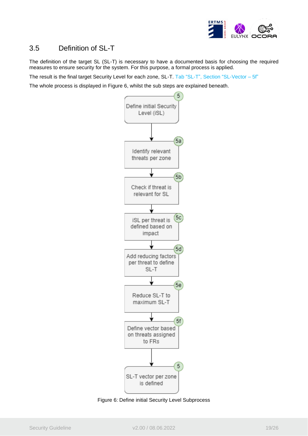

### <span id="page-18-0"></span>3.5 Definition of SL-T

The definition of the target SL (SL-T) is necessary to have a documented basis for choosing the required measures to ensure security for the system. For this purpose, a formal process is applied.

The result is the final target Security Level for each zone, SL-T. Tab "SL-T", Section "SL-Vector – 5f"

The whole process is displayed in [Figure 6,](#page-18-1) whilst the sub steps are explained beneath.



<span id="page-18-1"></span>Figure 6: Define initial Security Level Subprocess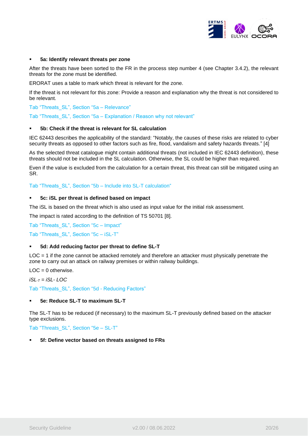

#### ▪ **5a: Identify relevant threats per zone**

After the threats have been sorted to the FR in the process step number 4 (see Chapter [3.4.2\)](#page-17-2), the relevant threats for the zone must be identified.

ERORAT uses a table to mark which threat is relevant for the zone.

If the threat is not relevant for this zone: Provide a reason and explanation why the threat is not considered to be relevant.

Tab "Threats\_SL", Section "5a – Relevance"

Tab "Threats SL", Section "5a – Explanation / Reason why not relevant"

#### **5b: Check if the threat is relevant for SL calculation**

IEC 62443 describes the applicability of the standard: "Notably, the causes of these risks are related to cyber security threats as opposed to other factors such as fire, flood, vandalism and safety hazards threats." [\[4\]](#page-5-1)

As the selected threat catalogue might contain additional threats (not included in IEC 62443 definition), these threats should not be included in the SL calculation. Otherwise, the SL could be higher than required.

Even if the value is excluded from the calculation for a certain threat, this threat can still be mitigated using an SR.

Tab "Threats\_SL", Section "5b – Include into SL-T calculation"

#### ▪ **5c: iSL per threat is defined based on impact**

The iSL is based on the threat which is also used as input value for the initial risk assessment.

The impact is rated according to the definition of TS 50701 [\[8\].](#page-5-2)

Tab "Threats\_SL", Section "5c – Impact"

Tab "Threats\_SL", Section "5c – iSL-T"

#### ▪ **5d: Add reducing factor per threat to define SL-T**

LOC = 1 if the zone cannot be attacked remotely and therefore an attacker must physically penetrate the zone to carry out an attack on railway premises or within railway buildings.

 $LOC = 0$  otherwise.

*iSL-T = iSL- LOC*

Tab "Threats\_SL", Section "5d - Reducing Factors"

#### ▪ **5e: Reduce SL-T to maximum SL-T**

The SL-T has to be reduced (if necessary) to the maximum SL-T previously defined based on the attacker type exclusions.

Tab "Threats\_SL", Section "5e – SL-T"

#### **5f: Define vector based on threats assigned to FRs**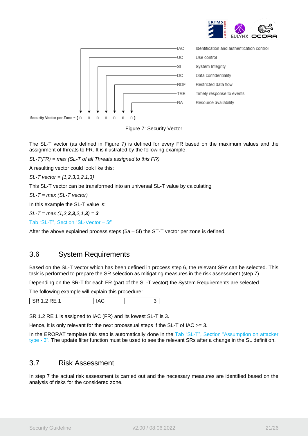





<span id="page-20-2"></span>The SL-T vector (as defined in [Figure 7\)](#page-20-2) is defined for every FR based on the maximum values and the assignment of threats to FR. It is illustrated by the following example.

*SL-T(FR) = max (SL-T of all Threats assigned to this FR)*

A resulting vector could look like this:

*SL-T vector = {1,2,3,3,2,1,3}*

This SL-T vector can be transformed into an universal SL-T value by calculating

*SL-T = max (SL-T vector)*

In this example the SL-T value is:

*SL-T = max (1,2,3,3,2,1,3) = 3*

Tab "SL-T", Section "SL-Vector – 5f"

<span id="page-20-0"></span>After the above explained process steps  $(5a - 5f)$  the ST-T vector per zone is defined.

### 3.6 System Requirements

Based on the SL-T vector which has been defined in process step 6, the relevant SRs can be selected. This task is performed to prepare the SR selection as mitigating measures in the risk assessment (step 7).

Depending on the SR-T for each FR (part of the SL-T vector) the System Requirements are selected.

The following example will explain this procedure:

| <br>. .<br>.<br>. . |
|---------------------|
|---------------------|

SR 1.2 RE 1 is assigned to IAC (FR) and its lowest SL-T is 3.

Hence, it is only relevant for the next processual steps if the SL-T of IAC >= 3.

In the ERORAT template this step is automatically done in the Tab "SL-T", Section "Assumption on attacker type - 3". The update filter function must be used to see the relevant SRs after a change in the SL definition.

### <span id="page-20-1"></span>3.7 Risk Assessment

In step 7 the actual risk assessment is carried out and the necessary measures are identified based on the analysis of risks for the considered zone.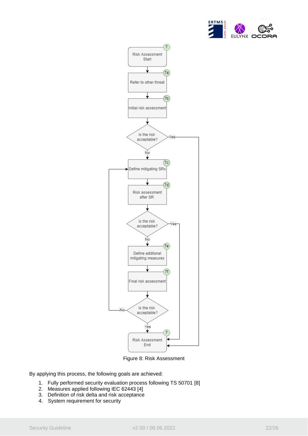



Figure 8: Risk Assessment

<span id="page-21-0"></span>By applying this process, the following goals are achieved:

- 1. Fully performed security evaluation process following TS 50701 [\[8\]](#page-5-2)
- 2. Measures applied following IEC 62443 [\[4\]](#page-5-1)
- 3. Definition of risk delta and risk acceptance
- 4. System requirement for security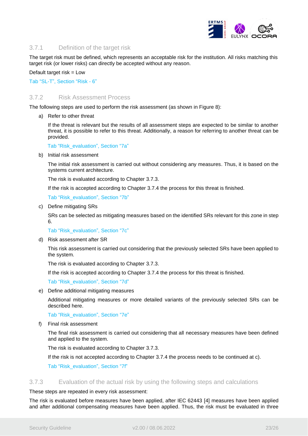

#### <span id="page-22-0"></span>3.7.1 Definition of the target risk

The target risk must be defined, which represents an acceptable risk for the institution. All risks matching this target risk (or lower risks) can directly be accepted without any reason.

Default target risk = Low

Tab "SL-T", Section "Risk - 6"

#### <span id="page-22-1"></span>3.7.2 Risk Assessment Process

The following steps are used to perform the risk assessment (as shown in [Figure 8\)](#page-21-0):

a) Refer to other threat

If the threat is relevant but the results of all assessment steps are expected to be similar to another threat, it is possible to refer to this threat. Additionally, a reason for referring to another threat can be provided.

Tab "Risk\_evaluation", Section "7a"

b) Initial risk assessment

The initial risk assessment is carried out without considering any measures. Thus, it is based on the systems current architecture.

The risk is evaluated according to Chapter [3.7.3.](#page-22-2)

If the risk is accepted according to Chapter [3.7.4](#page-23-0) the process for this threat is finished.

Tab "Risk\_evaluation", Section "7b"

c) Define mitigating SRs

SRs can be selected as mitigating measures based on the identified SRs relevant for this zone in step 6.

Tab "Risk\_evaluation", Section "7c"

d) Risk assessment after SR

This risk assessment is carried out considering that the previously selected SRs have been applied to the system.

The risk is evaluated according to Chapter [3.7.3.](#page-22-2)

If the risk is accepted according to Chapter [3.7.4](#page-23-0) the process for this threat is finished.

Tab "Risk\_evaluation", Section "7d"

e) Define additional mitigating measures

Additional mitigating measures or more detailed variants of the previously selected SRs can be described here.

Tab "Risk\_evaluation", Section "7e"

f) Final risk assessment

The final risk assessment is carried out considering that all necessary measures have been defined and applied to the system.

The risk is evaluated according to Chapter [3.7.3.](#page-22-2)

If the risk is not accepted according to Chapter [3.7.4](#page-23-0) the process needs to be continued at c).

Tab "Risk\_evaluation", Section "7f"

#### <span id="page-22-2"></span>3.7.3 Evaluation of the actual risk by using the following steps and calculations

#### These steps are repeated in every risk assessment:

The risk is evaluated before measures have been applied, after IEC 62443 [\[4\]](#page-5-1) measures have been applied and after additional compensating measures have been applied. Thus, the risk must be evaluated in three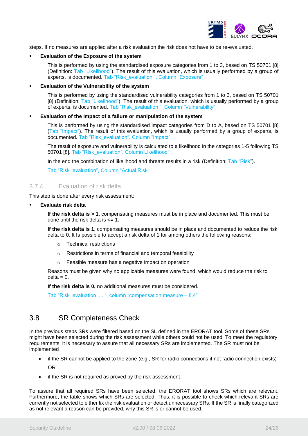

steps. If no measures are applied after a risk evaluation the risk does not have to be re-evaluated.

#### **Evaluation of the Exposure of the system**

This is performed by using the standardised exposure categories from 1 to 3, based on TS 50701 [\[8\]](#page-5-2) (Definition: Tab "Likelihood"). The result of this evaluation, which is usually performed by a group of experts, is documented. Tab "Risk\_evaluation ", Column "Exposure"

#### **Evaluation of the Vulnerability of the system**

This is performed by using the standardised vulnerability categories from 1 to 3, based on TS 50701 [\[8\]](#page-5-2) (Definition: Tab "Likelihood"). The result of this evaluation, which is usually performed by a group of experts, is documented. Tab "Risk\_evaluation ", Column "Vulnerability"

#### ▪ **Evaluation of the Impact of a failure or manipulation of the system**

This is performed by using the standardised impact categories from D to A, based on TS 50701 [\[8\]](#page-5-2) (Tab "Impact"). The result of this evaluation, which is usually performed by a group of experts, is documented. Tab "Risk\_evaluation", Column "Impact"

The result of exposure and vulnerability is calculated to a likelihood in the categories 1-5 following TS 50701 [\[8\].](#page-5-2) Tab "Risk\_evaluation", Column Likelihood"

In the end the combination of likelihood and threats results in a risk (Definition: Tab "Risk").

Tab "Risk\_evaluation", Column "Actual Risk"

#### <span id="page-23-0"></span>3.7.4 Evaluation of risk delta

This step is done after every risk assessment:

**Evaluate risk delta** 

**If the risk delta is > 1**, compensating measures must be in place and documented. This must be done until the risk delta is  $\leq 1$ .

**If the risk delta is 1**, compensating measures should be in place and documented to reduce the risk delta to 0. It Is possible to accept a risk delta of 1 for among others the following reasons:

- o Technical restrictions
- o Restrictions in terms of financial and temporal feasibility
- o Feasible measure has a negative impact on operation

Reasons must be given why no applicable measures were found, which would reduce the risk to  $delta = 0$ .

**If the risk delta is 0,** no additional measures must be considered.

Tab "Risk\_evaluation ... ", column "compensation measure – 8.4"

### <span id="page-23-1"></span>3.8 SR Completeness Check

In the previous steps SRs were filtered based on the SL defined in the ERORAT tool. Some of these SRs might have been selected during the risk assessment while others could not be used. To meet the regulatory requirements, it is necessary to assure that all necessary SRs are implemented. The SR must not be implemented

- if the SR cannot be applied to the zone (e.g., SR for radio connections if not radio connection exists) OR
- if the SR is not required as proved by the risk assessment.

To assure that all required SRs have been selected, the ERORAT tool shows SRs which are relevant. Furthermore, the table shows which SRs are selected. Thus, it is possible to check which relevant SRs are currently not selected to either fix the risk evaluation or detect unnecessary SRs. If the SR is finally categorized as not relevant a reason can be provided, why this SR is or cannot be used.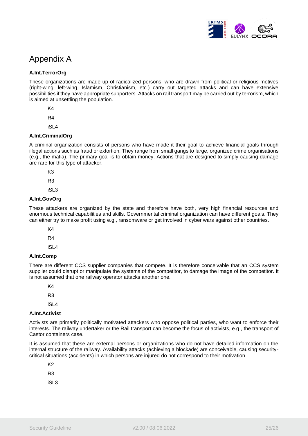

# <span id="page-24-0"></span>Appendix A

#### **A.Int.TerrorOrg**

These organizations are made up of radicalized persons, who are drawn from political or religious motives (right-wing, left-wing, Islamism, Christianism, etc.) carry out targeted attacks and can have extensive possibilities if they have appropriate supporters. Attacks on rail transport may be carried out by terrorism, which is aimed at unsettling the population.

K4

R4

iSL4

#### **A.Int.CriminalOrg**

A criminal organization consists of persons who have made it their goal to achieve financial goals through illegal actions such as fraud or extortion. They range from small gangs to large, organized crime organisations (e.g., the mafia). The primary goal is to obtain money. Actions that are designed to simply causing damage are rare for this type of attacker.

K3

R3

iSL3

#### **A.Int.GovOrg**

These attackers are organized by the state and therefore have both, very high financial resources and enormous technical capabilities and skills. Governmental criminal organization can have different goals. They can either try to make profit using e.g., ransomware or get involved in cyber wars against other countries.

K4

R4

iSL4

#### **A.Int.Comp**

There are different CCS supplier companies that compete. It is therefore conceivable that an CCS system supplier could disrupt or manipulate the systems of the competitor, to damage the image of the competitor. It is not assumed that one railway operator attacks another one.

K4

R3

iSL4

#### **A.Int.Activist**

Activists are primarily politically motivated attackers who oppose political parties, who want to enforce their interests. The railway undertaker or the Rail transport can become the focus of activists, e.g., the transport of Castor containers case.

It is assumed that these are external persons or organizations who do not have detailed information on the internal structure of the railway. Availability attacks (achieving a blockade) are conceivable, causing securitycritical situations (accidents) in which persons are injured do not correspond to their motivation.

K2 R3

iSL3